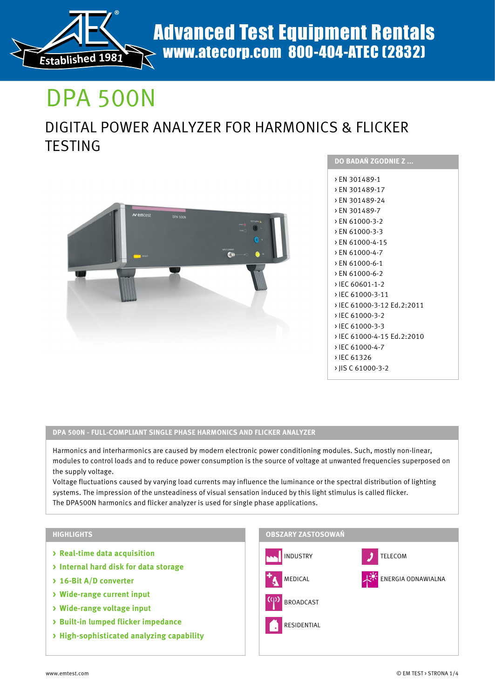

# DPA 500N

# DIGITAL POWER ANALYZER FOR HARMONICS & FLICKER **TESTING**



| <b>DO BADAN ZGODNIE Z </b>                                                                                                                                                                                                                                              |
|-------------------------------------------------------------------------------------------------------------------------------------------------------------------------------------------------------------------------------------------------------------------------|
| > EN 301489-1<br>> EN 301489-17<br>> FN 301489-24<br>> EN 301489-7<br>> FN 61000-3-2<br>> EN 61000-3-3<br>> EN 61000-4-15<br>> EN 61000-4-7<br>> FN 61000-6-1<br>> EN 61000-6-2<br>> IEC 60601-1-2<br>> IFC 61000-3-11<br>› IFC 61000-3-12 Fd.2:2011<br>> IEC 61000-3-2 |
|                                                                                                                                                                                                                                                                         |
| > IEC 61000-3-3<br>> IEC 61000-4-15 Ed.2:2010<br>> IFC 61000-4-7<br>> IEC 61326                                                                                                                                                                                         |
| > IIS C 61000-3-2                                                                                                                                                                                                                                                       |

# **DPA 500N - FULL-COMPLIANT SINGLE PHASE HARMONICS AND FLICKER ANALYZER**

Harmonics and interharmonics are caused by modern electronic power conditioning modules. Such, mostly non-linear, modules to control loads and to reduce power consumption is the source of voltage at unwanted frequencies superposed on the supply voltage.

Voltage fluctuations caused by varying load currents may influence the luminance or the spectral distribution of lighting systems. The impression of the unsteadiness of visual sensation induced by this light stimulus is called flicker. The DPA500N harmonics and flicker analyzer is used for single phase applications.

# **HIGHLIGHTS**

- **> Real-time data acquisition**
- **> Internal hard disk for data storage**
- **> 16-Bit A/D converter**
- **> Wide-range current input**
- **> Wide-range voltage input**
- **> Built-in lumped flicker impedance**
- **> High-sophisticated analyzing capability**

## **OBSZARY ZASTOSOWAŃ**

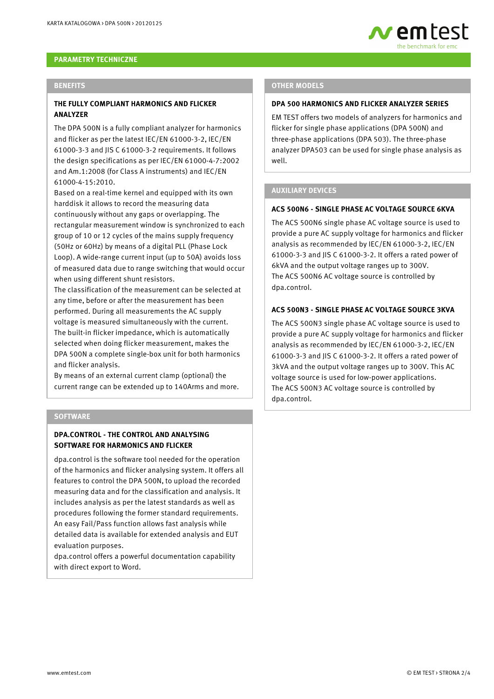

## **PARAMETRY TECHNICZNE**

#### **BENEFITS**

## **THE FULLY COMPLIANT HARMONICS AND FLICKER ANALYZER**

The DPA 500N is a fully compliant analyzer for harmonics and flicker as per the latest IEC/EN 61000-3-2, IEC/EN 61000-3-3 and JIS C 61000-3-2 requirements. It follows the design specifications as per IEC/EN 61000-4-7:2002 and Am.1:2008 (for Class A instruments) and IEC/EN 61000-4-15:2010.

Based on a real-time kernel and equipped with its own harddisk it allows to record the measuring data continuously without any gaps or overlapping. The rectangular measurement window is synchronized to each group of 10 or 12 cycles of the mains supply frequency (50Hz or 60Hz) by means of a digital PLL (Phase Lock Loop). A wide-range current input (up to 50A) avoids loss of measured data due to range switching that would occur when using different shunt resistors.

The classification of the measurement can be selected at any time, before or after the measurement has been performed. During all measurements the AC supply voltage is measured simultaneously with the current. The built-in flicker impedance, which is automatically selected when doing flicker measurement, makes the DPA 500N a complete single-box unit for both harmonics and flicker analysis.

By means of an external current clamp (optional) the current range can be extended up to 140Arms and more.

#### **SOFTWARE**

# **DPA.CONTROL - THE CONTROL AND ANALYSING SOFTWARE FOR HARMONICS AND FLICKER**

dpa.control is the software tool needed for the operation of the harmonics and flicker analysing system. It offers all features to control the DPA 500N, to upload the recorded measuring data and for the classification and analysis. It includes analysis as per the latest standards as well as procedures following the former standard requirements. An easy Fail/Pass function allows fast analysis while detailed data is available for extended analysis and EUT evaluation purposes.

dpa.control offers a powerful documentation capability with direct export to Word.

#### **OTHER MODELS**

#### **DPA 500 HARMONICS AND FLICKER ANALYZER SERIES**

EM TEST offers two models of analyzers for harmonics and flicker for single phase applications (DPA 500N) and three-phase applications (DPA 503). The three-phase analyzer DPA503 can be used for single phase analysis as well.

#### **AUXILIARY DEVICES**

# **ACS 500N6 - SINGLE PHASE AC VOLTAGE SOURCE 6KVA**

The ACS 500N6 single phase AC voltage source is used to provide a pure AC supply voltage for harmonics and flicker analysis as recommended by IEC/EN 61000-3-2, IEC/EN 61000-3-3 and JIS C 61000-3-2. It offers a rated power of 6kVA and the output voltage ranges up to 300V. The ACS 500N6 AC voltage source is controlled by dpa.control.

## **ACS 500N3 - SINGLE PHASE AC VOLTAGE SOURCE 3KVA**

The ACS 500N3 single phase AC voltage source is used to provide a pure AC supply voltage for harmonics and flicker analysis as recommended by IEC/EN 61000-3-2, IEC/EN 61000-3-3 and JIS C 61000-3-2. It offers a rated power of 3kVA and the output voltage ranges up to 300V. This AC voltage source is used for low-power applications. The ACS 500N3 AC voltage source is controlled by dpa.control.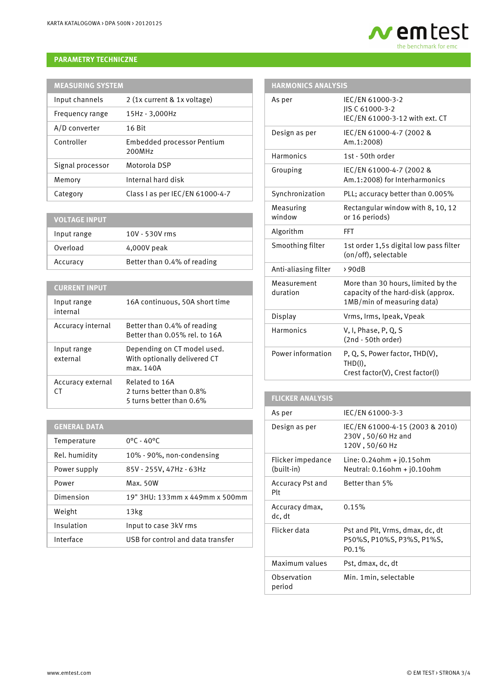# **PARAMETRY TECHNICZNE**

| <b>MEASURING SYSTEM</b> |                                             |  |
|-------------------------|---------------------------------------------|--|
| Input channels          | 2 (1x current & 1x voltage)                 |  |
| Frequency range         | 15Hz - 3,000Hz                              |  |
| A/D converter           | $16$ Bit                                    |  |
| Controller              | <b>Embedded processor Pentium</b><br>200MHz |  |
| Signal processor        | Motorola DSP                                |  |
| Memory                  | Internal hard disk                          |  |
| Category                | Class I as per IEC/EN 61000-4-7             |  |

| <b>VOLTAGE INPUT</b> |                             |
|----------------------|-----------------------------|
| Input range          | 10V - 530V rms              |
| Overload             | 4,000V peak                 |
| Accuracy             | Better than 0.4% of reading |

# **CURRENT INPUT**

| Input range<br>internal | 16A continuous, 50A short time                                           |
|-------------------------|--------------------------------------------------------------------------|
| Accuracy internal       | Better than 0.4% of reading<br>Better than 0.05% rel. to 16A             |
| Input range<br>external | Depending on CT model used.<br>With optionally delivered CT<br>max. 140A |
| Accuracy external       | Related to 16A<br>2 turns better than 0.8%<br>5 turns better than 0.6%   |

# **GENERAL DATA**

| Temperature   | $0^{\circ}$ C - 40 $^{\circ}$ C   |
|---------------|-----------------------------------|
| Rel. humidity | 10% - 90%, non-condensing         |
| Power supply  | 85V - 255V, 47Hz - 63Hz           |
| Power         | Max. 50W                          |
| Dimension     | 19" 3HU: 133mm x 449mm x 500mm    |
| Weight        | 13kg                              |
| Insulation    | Input to case 3kV rms             |
| Interface     | USB for control and data transfer |

# **em test** the benchmark for emc

| <b>HARMONICS ANALYSIS</b> |                                                                                                        |  |
|---------------------------|--------------------------------------------------------------------------------------------------------|--|
| As per                    | IEC/EN 61000-3-2<br>JIS C 61000-3-2<br>IEC/EN 61000-3-12 with ext. CT                                  |  |
| Design as per             | IEC/EN 61000-4-7 (2002 &<br>Am.1:2008)                                                                 |  |
| Harmonics                 | 1st - 50th order                                                                                       |  |
| Grouping                  | IEC/EN 61000-4-7 (2002 &<br>Am.1:2008) for Interharmonics                                              |  |
| Synchronization           | PLL; accuracy better than 0.005%                                                                       |  |
| Measuring<br>window       | Rectangular window with 8, 10, 12<br>or 16 periods)                                                    |  |
| Algorithm                 | <b>FFT</b>                                                                                             |  |
| Smoothing filter          | 1st order 1,5s digital low pass filter<br>(on/off), selectable                                         |  |
| Anti-aliasing filter      | >90dB                                                                                                  |  |
| Measurement<br>duration   | More than 30 hours, limited by the<br>capacity of the hard-disk (approx.<br>1MB/min of measuring data) |  |
| Display                   | Vrms, Irms, Ipeak, Vpeak                                                                               |  |
| Harmonics                 | V, I, Phase, P, Q, S<br>(2nd - 50th order)                                                             |  |
| Power information         | P, Q, S, Power factor, THD(V),<br>$THD(I)$ ,<br>Crest factor(V), Crest factor(I)                       |  |

| <b>FLICKER ANALYSIS</b>         |                                                                                    |
|---------------------------------|------------------------------------------------------------------------------------|
| As per                          | IEC/EN 61000-3-3                                                                   |
| Design as per                   | IEC/EN 61000-4-15 (2003 & 2010)<br>230V, 50/60 Hz and<br>120V, 50/60 Hz            |
| Flicker impedance<br>(built-in) | $Line: 0.24$ ohm + $j0.15$ ohm<br>Neutral: 0.16ohm + j0.10ohm                      |
| <b>Accuracy Pst and</b><br>Plt  | Better than 5%                                                                     |
| Accuracy dmax,<br>dc. dt        | 0.15%                                                                              |
| Flicker data                    | Pst and Plt, Vrms, dmax, dc, dt<br>P50%S, P10%S, P3%S, P1%S,<br>P <sub>0.1</sub> % |
| Maximum values                  | Pst, dmax, dc, dt                                                                  |
| Observation<br>period           | Min. 1 min. selectable                                                             |